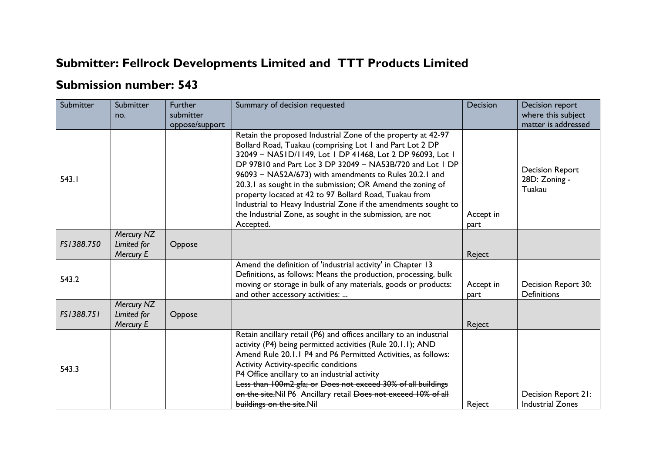## **Submitter: Fellrock Developments Limited and TTT Products Limited**

## **Submission number: 543**

| Submitter  | Submitter<br>no.                       | <b>Further</b><br>submitter<br>oppose/support | Summary of decision requested                                                                                                                                                                                                                                                                                                                                                                                                                                                                                                                                                     | <b>Decision</b>   | Decision report<br>where this subject<br>matter is addressed |
|------------|----------------------------------------|-----------------------------------------------|-----------------------------------------------------------------------------------------------------------------------------------------------------------------------------------------------------------------------------------------------------------------------------------------------------------------------------------------------------------------------------------------------------------------------------------------------------------------------------------------------------------------------------------------------------------------------------------|-------------------|--------------------------------------------------------------|
| 543.1      |                                        |                                               | Retain the proposed Industrial Zone of the property at 42-97<br>Bollard Road, Tuakau (comprising Lot 1 and Part Lot 2 DP<br>32049 - NA51D/1149, Lot 1 DP 41468, Lot 2 DP 96093, Lot 1<br>DP 97810 and Part Lot 3 DP 32049 - NA53B/720 and Lot 1 DP<br>96093 - NA52A/673) with amendments to Rules 20.2.1 and<br>20.3.1 as sought in the submission; OR Amend the zoning of<br>property located at 42 to 97 Bollard Road, Tuakau from<br>Industrial to Heavy Industrial Zone if the amendments sought to<br>the Industrial Zone, as sought in the submission, are not<br>Accepted. | Accept in<br>part | <b>Decision Report</b><br>28D: Zoning -<br>Tuakau            |
| FS1388.750 | Mercury NZ<br>Limited for<br>Mercury E | Oppose                                        |                                                                                                                                                                                                                                                                                                                                                                                                                                                                                                                                                                                   | Reject            |                                                              |
| 543.2      |                                        |                                               | Amend the definition of 'industrial activity' in Chapter 13<br>Definitions, as follows: Means the production, processing, bulk<br>moving or storage in bulk of any materials, goods or products:<br>and other accessory activities:                                                                                                                                                                                                                                                                                                                                               | Accept in<br>part | Decision Report 30:<br><b>Definitions</b>                    |
| FS1388.751 | Mercury NZ<br>Limited for<br>Mercury E | Oppose                                        |                                                                                                                                                                                                                                                                                                                                                                                                                                                                                                                                                                                   | Reject            |                                                              |
| 543.3      |                                        |                                               | Retain ancillary retail (P6) and offices ancillary to an industrial<br>activity (P4) being permitted activities (Rule 20.1.1); AND<br>Amend Rule 20.1.1 P4 and P6 Permitted Activities, as follows:<br><b>Activity Activity-specific conditions</b><br>P4 Office ancillary to an industrial activity<br>Less than 100m2 gfa; or Does not exceed 30% of all buildings<br>on the site. Nil P6 Ancillary retail Does not exceed 10% of all<br>buildings on the site.Nil                                                                                                              | Reject            | Decision Report 21:<br><b>Industrial Zones</b>               |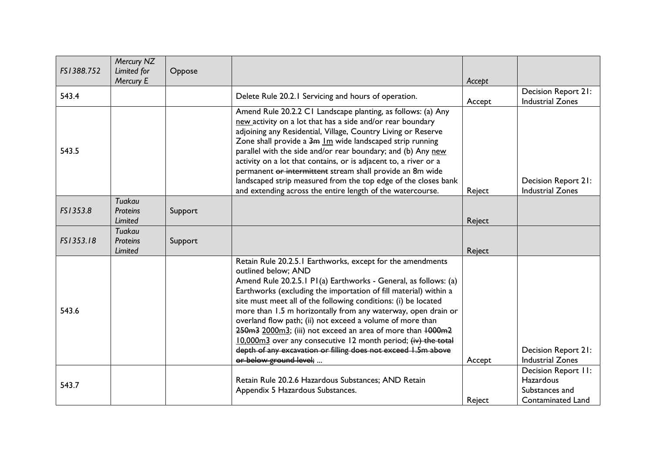| FS1388.752 | Mercury NZ<br>Limited for<br>Mercury E | Oppose  |                                                                                                                                                                                                                                                                                                                                                                                                                                                                                                                                                                                                                                                    | Accept |                                                                         |
|------------|----------------------------------------|---------|----------------------------------------------------------------------------------------------------------------------------------------------------------------------------------------------------------------------------------------------------------------------------------------------------------------------------------------------------------------------------------------------------------------------------------------------------------------------------------------------------------------------------------------------------------------------------------------------------------------------------------------------------|--------|-------------------------------------------------------------------------|
| 543.4      |                                        |         | Delete Rule 20.2.1 Servicing and hours of operation.                                                                                                                                                                                                                                                                                                                                                                                                                                                                                                                                                                                               | Accept | Decision Report 21:<br><b>Industrial Zones</b>                          |
| 543.5      |                                        |         | Amend Rule 20.2.2 C1 Landscape planting, as follows: (a) Any<br>new activity on a lot that has a side and/or rear boundary<br>adjoining any Residential, Village, Country Living or Reserve<br>Zone shall provide a 3m Im wide landscaped strip running<br>parallel with the side and/or rear boundary; and (b) Any new<br>activity on a lot that contains, or is adjacent to, a river or a<br>permanent or intermittent stream shall provide an 8m wide<br>landscaped strip measured from the top edge of the closes bank<br>and extending across the entire length of the watercourse.                                                           | Reject | Decision Report 21:<br><b>Industrial Zones</b>                          |
| FS1353.8   | Tuakau<br><b>Proteins</b><br>Limited   | Support |                                                                                                                                                                                                                                                                                                                                                                                                                                                                                                                                                                                                                                                    | Reject |                                                                         |
| FS1353.18  | Tuakau<br>Proteins<br>Limited          | Support |                                                                                                                                                                                                                                                                                                                                                                                                                                                                                                                                                                                                                                                    | Reject |                                                                         |
| 543.6      |                                        |         | Retain Rule 20.2.5.1 Earthworks, except for the amendments<br>outlined below; AND<br>Amend Rule 20.2.5.1 P1(a) Earthworks - General, as follows: (a)<br>Earthworks (excluding the importation of fill material) within a<br>site must meet all of the following conditions: (i) be located<br>more than 1.5 m horizontally from any waterway, open drain or<br>overland flow path; (ii) not exceed a volume of more than<br>250m3 2000m3; (iii) not exceed an area of more than +000m2<br>10,000m3 over any consecutive 12 month period; (iv) the total<br>depth of any excavation or filling does not exceed 1.5m above<br>or below ground level; | Accept | Decision Report 21:<br><b>Industrial Zones</b>                          |
| 543.7      |                                        |         | Retain Rule 20.2.6 Hazardous Substances; AND Retain<br>Appendix 5 Hazardous Substances.                                                                                                                                                                                                                                                                                                                                                                                                                                                                                                                                                            | Reject | Decision Report II:<br>Hazardous<br>Substances and<br>Contaminated Land |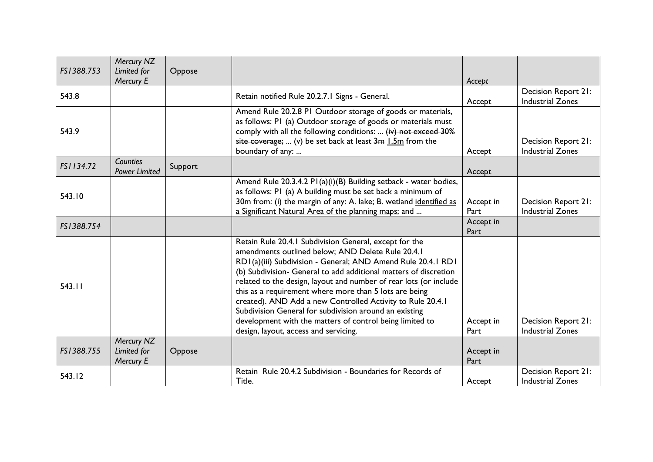| FS1388.753 | Mercury NZ<br>Limited for<br>Mercury E | Oppose  |                                                                                                                                                                                                                                                                                                                                                                                                                                                                                                                                                                                                             | Accept            |                                                       |
|------------|----------------------------------------|---------|-------------------------------------------------------------------------------------------------------------------------------------------------------------------------------------------------------------------------------------------------------------------------------------------------------------------------------------------------------------------------------------------------------------------------------------------------------------------------------------------------------------------------------------------------------------------------------------------------------------|-------------------|-------------------------------------------------------|
| 543.8      |                                        |         | Retain notified Rule 20.2.7.1 Signs - General.                                                                                                                                                                                                                                                                                                                                                                                                                                                                                                                                                              | Accept            | Decision Report 21:<br><b>Industrial Zones</b>        |
| 543.9      |                                        |         | Amend Rule 20.2.8 PI Outdoor storage of goods or materials,<br>as follows: PI (a) Outdoor storage of goods or materials must<br>comply with all the following conditions:  (iv) not exceed 30%<br>site coverage;  (v) be set back at least $3m$ 1.5m from the<br>boundary of any:                                                                                                                                                                                                                                                                                                                           | Accept            | Decision Report 21:<br><b>Industrial Zones</b>        |
| FS1134.72  | Counties<br><b>Power Limited</b>       | Support |                                                                                                                                                                                                                                                                                                                                                                                                                                                                                                                                                                                                             | Accept            |                                                       |
| 543.10     |                                        |         | Amend Rule 20.3.4.2 P1(a)(i)(B) Building setback - water bodies,<br>as follows: PI (a) A building must be set back a minimum of<br>30m from: (i) the margin of any: A. lake; B. wetland identified as<br>a Significant Natural Area of the planning maps; and                                                                                                                                                                                                                                                                                                                                               | Accept in<br>Part | <b>Decision Report 21:</b><br><b>Industrial Zones</b> |
| FS1388.754 |                                        |         |                                                                                                                                                                                                                                                                                                                                                                                                                                                                                                                                                                                                             | Accept in<br>Part |                                                       |
| 543.11     |                                        |         | Retain Rule 20.4.1 Subdivision General, except for the<br>amendments outlined below; AND Delete Rule 20.4.1<br>RD1(a)(iii) Subdivision - General; AND Amend Rule 20.4.1 RD1<br>(b) Subdivision- General to add additional matters of discretion<br>related to the design, layout and number of rear lots (or include<br>this as a requirement where more than 5 lots are being<br>created). AND Add a new Controlled Activity to Rule 20.4.1<br>Subdivision General for subdivision around an existing<br>development with the matters of control being limited to<br>design, layout, access and servicing. | Accept in<br>Part | Decision Report 21:<br><b>Industrial Zones</b>        |
| FS1388.755 | Mercury NZ<br>Limited for<br>Mercury E | Oppose  |                                                                                                                                                                                                                                                                                                                                                                                                                                                                                                                                                                                                             | Accept in<br>Part |                                                       |
| 543.12     |                                        |         | Retain Rule 20.4.2 Subdivision - Boundaries for Records of<br>Title.                                                                                                                                                                                                                                                                                                                                                                                                                                                                                                                                        | Accept            | Decision Report 21:<br><b>Industrial Zones</b>        |